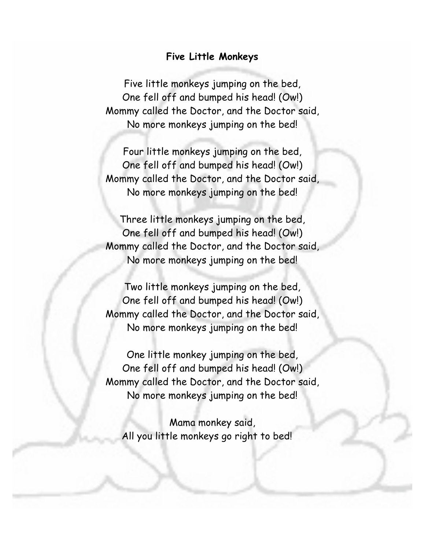## **Five Little Monkeys**

Five little monkeys jumping on the bed, One fell off and bumped his head! (Ow!) Mommy called the Doctor, and the Doctor said, No more monkeys jumping on the bed!

Four little monkeys jumping on the bed, One fell off and bumped his head! (Ow!) Mommy called the Doctor, and the Doctor said, No more monkeys jumping on the bed!

Three little monkeys jumping on the bed, One fell off and bumped his head! (Ow!) Mommy called the Doctor, and the Doctor said, No more monkeys jumping on the bed!

Two little monkeys jumping on the bed, One fell off and bumped his head! (Ow!) Mommy called the Doctor, and the Doctor said, No more monkeys jumping on the bed!

One little monkey jumping on the bed, One fell off and bumped his head! (Ow!) Mommy called the Doctor, and the Doctor said, No more monkeys jumping on the bed!

Mama monkey said, All you little monkeys go right to bed!